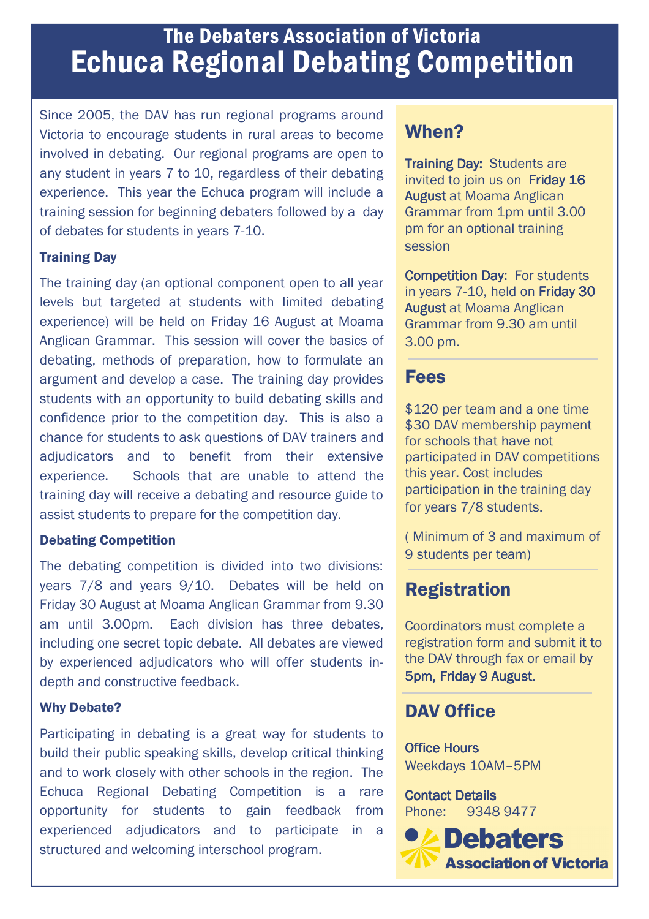# The Debaters Association of Victoria Echuca Regional Debating Competition

Since 2005, the DAV has run regional programs around Victoria to encourage students in rural areas to become involved in debating. Our regional programs are open to any student in years 7 to 10, regardless of their debating experience. This year the Echuca program will include a training session for beginning debaters followed by a day of debates for students in years 7-10.

### Training Day

The training day (an optional component open to all year levels but targeted at students with limited debating experience) will be held on Friday 16 August at Moama Anglican Grammar. This session will cover the basics of debating, methods of preparation, how to formulate an argument and develop a case. The training day provides students with an opportunity to build debating skills and confidence prior to the competition day. This is also a chance for students to ask questions of DAV trainers and adjudicators and to benefit from their extensive experience. Schools that are unable to attend the training day will receive a debating and resource guide to assist students to prepare for the competition day.

#### Debating Competition

The debating competition is divided into two divisions: years 7/8 and years 9/10. Debates will be held on Friday 30 August at Moama Anglican Grammar from 9.30 am until 3.00pm. Each division has three debates, including one secret topic debate. All debates are viewed by experienced adjudicators who will offer students indepth and constructive feedback.

#### Why Debate?

Participating in debating is a great way for students to build their public speaking skills, develop critical thinking and to work closely with other schools in the region. The Echuca Regional Debating Competition is a rare opportunity for students to gain feedback from experienced adjudicators and to participate in a structured and welcoming interschool program.

### When?

Training Day: Students are invited to join us on Friday 16 **August at Moama Anglican** Grammar from 1pm until 3.00 pm for an optional training session

**Competition Day: For students** in years  $7-10$ , held on Friday 30 **August at Moama Anglican** Grammar from 9.30 am until 3.00 pm.

### Fees

\$120 per team and a one time \$30 DAV membership payment for schools that have not participated in DAV competitions this year. Cost includes participation in the training day for years 7/8 students.

( Minimum of 3 and maximum of 9 students per team)

# Registration

Coordinators must complete a registration form and submit it to the DAV through fax or email by 5pm, Friday 9 August. 5pm, Friday 9 August

# DAV Office

**Office Hours** Weekdays 10AM–5PM

**Contact Details** Phone: 9348 9477